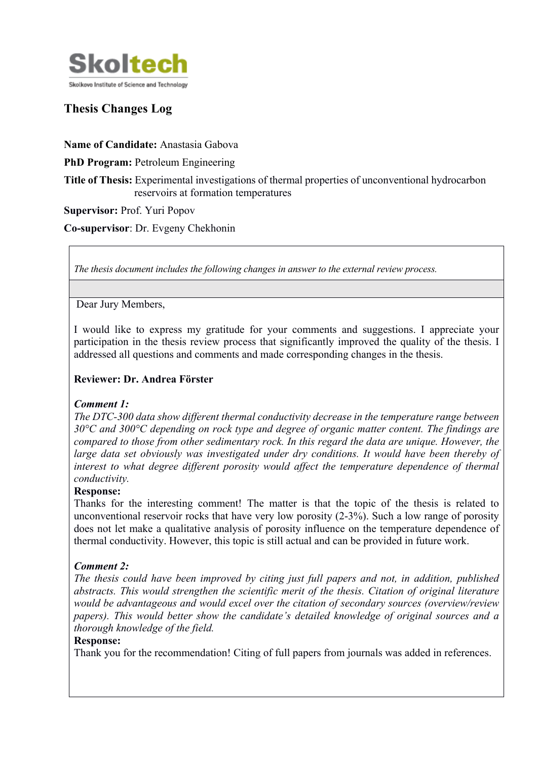

# **Thesis Changes Log**

**Name of Candidate:** Anastasia Gabova

**PhD Program: Petroleum Engineering** 

**Title of Thesis:** Experimental investigations of thermal properties of unconventional hydrocarbon reservoirs at formation temperatures

**Supervisor:** Prof. Yuri Popov

**Co-supervisor**: Dr. Evgeny Chekhonin

*The thesis document includes the following changes in answer to the external review process.*

Dear Jury Members,

I would like to express my gratitude for your comments and suggestions. I appreciate your participation in the thesis review process that significantly improved the quality of the thesis. I addressed all questions and comments and made corresponding changes in the thesis.

#### **Reviewer: Dr. Andrea Förster**

#### *Comment 1:*

*The DTC-300 data show different thermal conductivity decrease in the temperature range between 30°C and 300°C depending on rock type and degree of organic matter content. The findings are compared to those from other sedimentary rock. In this regard the data are unique. However, the*  large data set obviously was investigated under dry conditions. It would have been thereby of interest to what degree different porosity would affect the temperature dependence of thermal *conductivity.*

#### **Response:**

Thanks for the interesting comment! The matter is that the topic of the thesis is related to unconventional reservoir rocks that have very low porosity (2-3%). Such a low range of porosity does not let make a qualitative analysis of porosity influence on the temperature dependence of thermal conductivity. However, this topic is still actual and can be provided in future work.

### *Comment 2:*

*The thesis could have been improved by citing just full papers and not, in addition, published abstracts. This would strengthen the scientific merit of the thesis. Citation of original literature would be advantageous and would excel over the citation of secondary sources (overview/review papers). This would better show the candidate's detailed knowledge of original sources and a thorough knowledge of the field.*

#### **Response:**

Thank you for the recommendation! Citing of full papers from journals was added in references.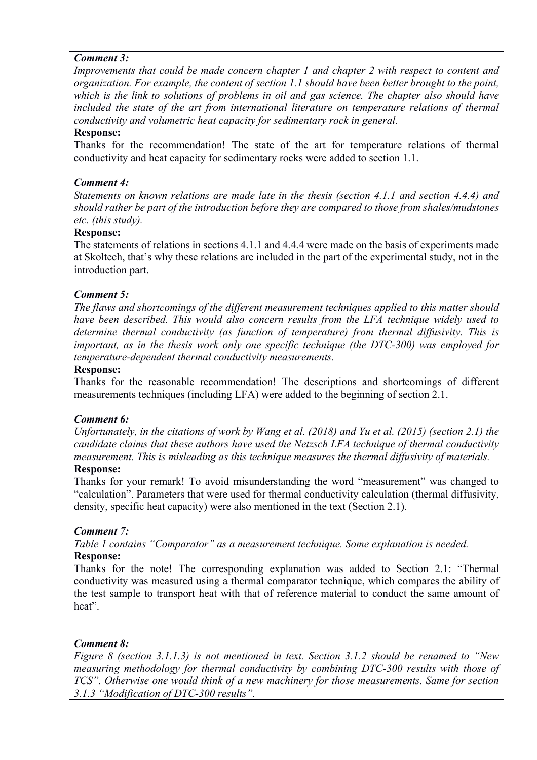### *Comment 3:*

*Improvements that could be made concern chapter 1 and chapter 2 with respect to content and organization. For example, the content of section 1.1 should have been better brought to the point, which is the link to solutions of problems in oil and gas science. The chapter also should have included the state of the art from international literature on temperature relations of thermal conductivity and volumetric heat capacity for sedimentary rock in general.*

#### **Response:**

Thanks for the recommendation! The state of the art for temperature relations of thermal conductivity and heat capacity for sedimentary rocks were added to section 1.1.

#### *Comment 4:*

*Statements on known relations are made late in the thesis (section 4.1.1 and section 4.4.4) and should rather be part of the introduction before they are compared to those from shales/mudstones etc. (this study).*

## **Response:**

The statements of relations in sections 4.1.1 and 4.4.4 were made on the basis of experiments made at Skoltech, that's why these relations are included in the part of the experimental study, not in the introduction part.

#### *Comment 5:*

*The flaws and shortcomings of the different measurement techniques applied to this matter should have been described. This would also concern results from the LFA technique widely used to determine thermal conductivity (as function of temperature) from thermal diffusivity. This is important, as in the thesis work only one specific technique (the DTC-300) was employed for temperature-dependent thermal conductivity measurements.*

#### **Response:**

Thanks for the reasonable recommendation! The descriptions and shortcomings of different measurements techniques (including LFA) were added to the beginning of section 2.1.

#### *Comment 6:*

*Unfortunately, in the citations of work by Wang et al. (2018) and Yu et al. (2015) (section 2.1) the candidate claims that these authors have used the Netzsch LFA technique of thermal conductivity measurement. This is misleading as this technique measures the thermal diffusivity of materials.* **Response:**

#### Thanks for your remark! To avoid misunderstanding the word "measurement" was changed to "calculation". Parameters that were used for thermal conductivity calculation (thermal diffusivity, density, specific heat capacity) were also mentioned in the text (Section 2.1).

### *Comment 7:*

*Table 1 contains "Comparator" as a measurement technique. Some explanation is needed.*  **Response:**

Thanks for the note! The corresponding explanation was added to Section 2.1: "Thermal conductivity was measured using a thermal comparator technique, which compares the ability of the test sample to transport heat with that of reference material to conduct the same amount of heat".

#### *Comment 8:*

*Figure 8 (section 3.1.1.3) is not mentioned in text. Section 3.1.2 should be renamed to "New measuring methodology for thermal conductivity by combining DTC-300 results with those of TCS". Otherwise one would think of a new machinery for those measurements. Same for section 3.1.3 "Modification of DTC-300 results".*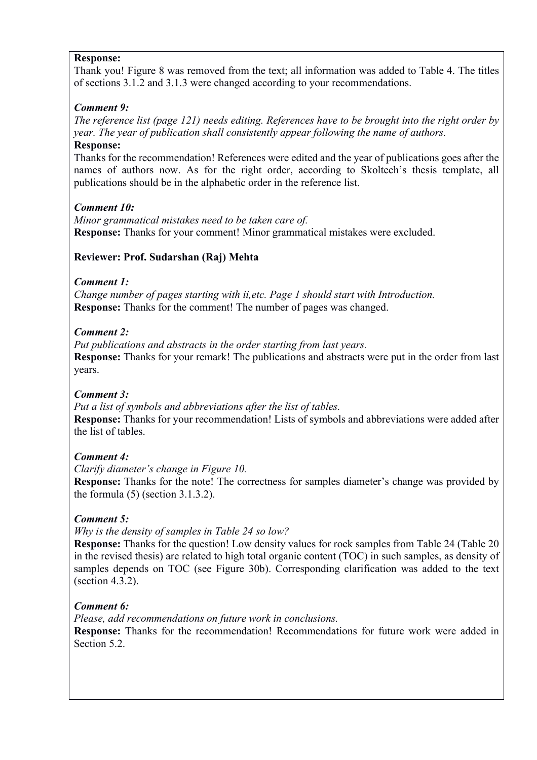### **Response:**

Thank you! Figure 8 was removed from the text; all information was added to Table 4. The titles of sections 3.1.2 and 3.1.3 were changed according to your recommendations.

### *Comment 9:*

*The reference list (page 121) needs editing. References have to be brought into the right order by year. The year of publication shall consistently appear following the name of authors.*

**Response:**

Thanks for the recommendation! References were edited and the year of publications goes after the names of authors now. As for the right order, according to Skoltech's thesis template, all publications should be in the alphabetic order in the reference list.

### *Comment 10:*

*Minor grammatical mistakes need to be taken care of.* **Response:** Thanks for your comment! Minor grammatical mistakes were excluded.

### **Reviewer: Prof. Sudarshan (Raj) Mehta**

### *Comment 1:*

*Change number of pages starting with ii,etc. Page 1 should start with Introduction.* **Response:** Thanks for the comment! The number of pages was changed.

### *Comment 2:*

*Put publications and abstracts in the order starting from last years.* **Response:** Thanks for your remark! The publications and abstracts were put in the order from last years.

### *Comment 3:*

*Put a list of symbols and abbreviations after the list of tables.*  **Response:** Thanks for your recommendation! Lists of symbols and abbreviations were added after the list of tables.

### *Comment 4:*

*Clarify diameter's change in Figure 10.*

**Response:** Thanks for the note! The correctness for samples diameter's change was provided by the formula  $(5)$  (section 3.1.3.2).

### *Comment 5:*

*Why is the density of samples in Table 24 so low?*

**Response:** Thanks for the question! Low density values for rock samples from Table 24 (Table 20 in the revised thesis) are related to high total organic content (TOC) in such samples, as density of samples depends on TOC (see Figure 30b). Corresponding clarification was added to the text (section 4.3.2).

### *Comment 6:*

*Please, add recommendations on future work in conclusions.* **Response:** Thanks for the recommendation! Recommendations for future work were added in Section 5.2.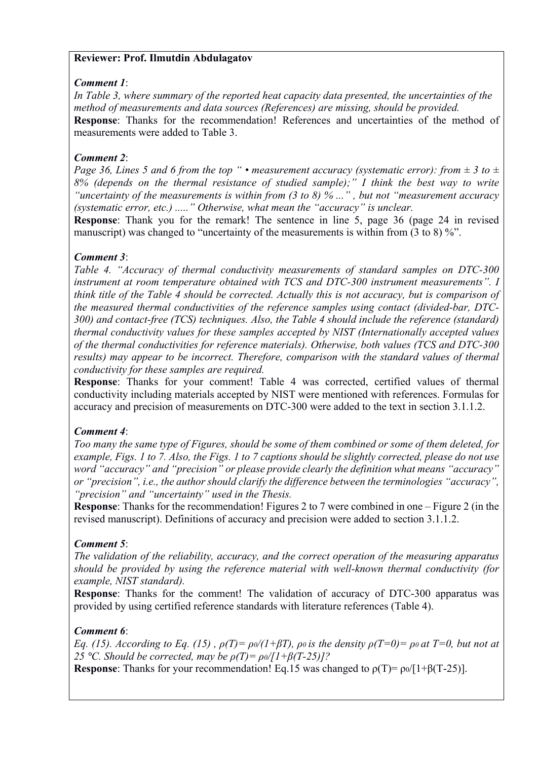### **Reviewer: Prof. Ilmutdin Abdulagatov**

#### *Comment 1*:

*In Table 3, where summary of the reported heat capacity data presented, the uncertainties of the method of measurements and data sources (References) are missing, should be provided.* **Response**: Thanks for the recommendation! References and uncertainties of the method of measurements were added to Table 3.

### *Comment 2*:

*Page 36, Lines 5 and 6 from the top "* • *measurement accuracy (systematic error): from*  $\pm$  3 to  $\pm$ *8% (depends on the thermal resistance of studied sample);" I think the best way to write "uncertainty of the measurements is within from (3 to 8) % ..." , but not "measurement accuracy (systematic error, etc.) ....." Otherwise, what mean the "accuracy" is unclear.* 

**Response**: Thank you for the remark! The sentence in line 5, page 36 (page 24 in revised manuscript) was changed to "uncertainty of the measurements is within from (3 to 8) %".

#### *Comment 3*:

*Table 4. "Accuracy of thermal conductivity measurements of standard samples on DTC-300 instrument at room temperature obtained with TCS and DTC-300 instrument measurements". I think title of the Table 4 should be corrected. Actually this is not accuracy, but is comparison of the measured thermal conductivities of the reference samples using contact (divided-bar, DTC-300) and contact-free (TCS) techniques. Also, the Table 4 should include the reference (standard) thermal conductivity values for these samples accepted by NIST (Internationally accepted values of the thermal conductivities for reference materials). Otherwise, both values (TCS and DTC-300 results) may appear to be incorrect. Therefore, comparison with the standard values of thermal conductivity for these samples are required.* 

**Response**: Thanks for your comment! Table 4 was corrected, certified values of thermal conductivity including materials accepted by NIST were mentioned with references. Formulas for accuracy and precision of measurements on DTC-300 were added to the text in section 3.1.1.2.

### *Comment 4*:

*Too many the same type of Figures, should be some of them combined or some of them deleted, for example, Figs. 1 to 7. Also, the Figs. 1 to 7 captions should be slightly corrected, please do not use word "accuracy" and "precision" or please provide clearly the definition what means "accuracy" or "precision", i.e., the author should clarify the difference between the terminologies "accuracy", "precision" and "uncertainty" used in the Thesis.* 

**Response**: Thanks for the recommendation! Figures 2 to 7 were combined in one – Figure 2 (in the revised manuscript). Definitions of accuracy and precision were added to section 3.1.1.2.

#### *Comment 5*:

*The validation of the reliability, accuracy, and the correct operation of the measuring apparatus should be provided by using the reference material with well-known thermal conductivity (for example, NIST standard).*

**Response**: Thanks for the comment! The validation of accuracy of DTC-300 apparatus was provided by using certified reference standards with literature references (Table 4).

#### *Comment 6*:

*Eq. (15). According to Eq. (15),*  $\rho(T) = \frac{\rho_0}{I + \beta T}$ *,*  $\rho_0$  *is the density*  $\rho(T=0) = \rho_0$  *at*  $T=0$ *, but not at 25* °*C. Should be corrected, may be*  $\rho(T) = \frac{\rho_0}{I + \beta(T - 25)}$ *?* 

**Response:** Thanks for your recommendation! Eq.15 was changed to  $\rho(T) = \frac{\rho_0}{1+\beta(T-25)}$ .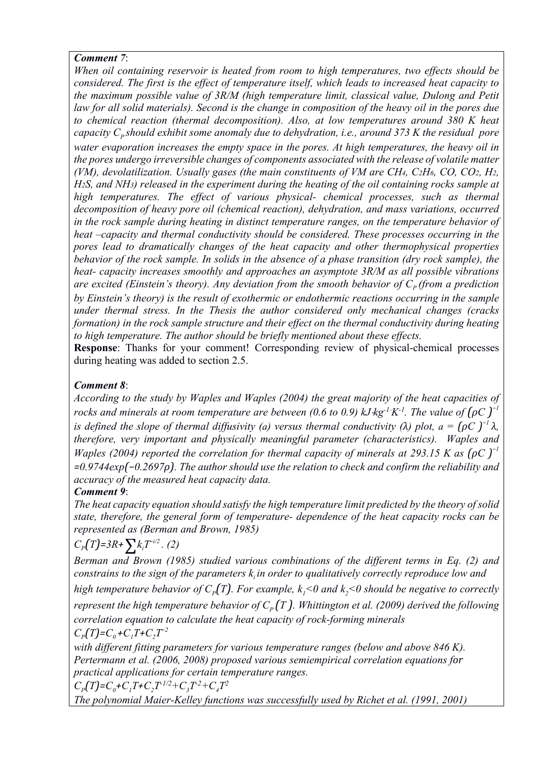### *Comment 7*:

*When oil containing reservoir is heated from room to high temperatures, two effects should be considered. The first is the effect of temperature itself, which leads to increased heat capacity to the maximum possible value of 3R/M (high temperature limit, classical value, Dulong and Petit*  law for all solid materials). Second is the change in composition of the heavy oil in the pores due *to chemical reaction (thermal decomposition). Also, at low temperatures around 380 K heat capacity C<sub>p</sub> should exhibit some anomaly due to dehydration, i.e., around 373 K the residual pore water evaporation increases the empty space in the pores. At high temperatures, the heavy oil in the pores undergo irreversible changes of components associated with the release of volatile matter (VM), devolatilization. Usually gases (the main constituents of VM are CH4, C2H6, CO, CO2, H2, H2S, and NH3) released in the experiment during the heating of the oil containing rocks sample at high temperatures. The effect of various physical- chemical processes, such as thermal decomposition of heavy pore oil (chemical reaction), dehydration, and mass variations, occurred in the rock sample during heating in distinct temperature ranges, on the temperature behavior of heat –capacity and thermal conductivity should be considered. These processes occurring in the pores lead to dramatically changes of the heat capacity and other thermophysical properties behavior of the rock sample. In solids in the absence of a phase transition (dry rock sample), the heat- capacity increases smoothly and approaches an asymptote 3R/M as all possible vibrations are excited (Einstein's theory). Any deviation from the smooth behavior of*  $C_p$  *(from a prediction by Einstein's theory) is the result of exothermic or endothermic reactions occurring in the sample under thermal stress. In the Thesis the author considered only mechanical changes (cracks formation) in the rock sample structure and their effect on the thermal conductivity during heating to high temperature. The author should be briefly mentioned about these effects.*

**Response**: Thanks for your comment! Corresponding review of physical-chemical processes during heating was added to section 2.5.

## *Comment 8*:

*According to the study by Waples and Waples (2004) the great majority of the heat capacities of rocks and minerals at room temperature are between (0.6 to 0.9)*  $kJ \cdot kg^{-1}K^{-1}$ *. The value of*  $(\rho C)^{-1}$ *is defined the slope of thermal diffusivity (a) versus thermal conductivity (* $\lambda$ *) plot, a =*  $(\rho C)^{-1} \lambda$ *, therefore, very important and physically meaningful parameter (characteristics). Waples and Waples (2004) reported the correlation for thermal capacity of minerals at 293.15 K as*  $(\rho C)^{-1}$ *=0.9744exp(−0.2697ρ). The author should use the relation to check and confirm the reliability and accuracy of the measured heat capacity data.*

## *Comment 9*:

*The heat capacity equation should satisfy the high temperature limit predicted by the theory of solid state, therefore, the general form of temperature- dependence of the heat capacity rocks can be represented as (Berman and Brown, 1985)* 

$$
C_p(T)=3R+\sum k_i T^{-i/2}. (2)
$$

*Berman and Brown (1985) studied various combinations of the different terms in Eq. (2) and constrains to the sign of the parameters k<sub>i</sub> in order to qualitatively correctly reproduce low and* 

*high temperature behavior of*  $C_p(T)$ *. For example,*  $k_1 < 0$  *and*  $k_2 < 0$  *should be negative to correctly represent the high temperature behavior of*  $C_p(T)$ *. Whittington et al. (2009) derived the following correlation equation to calculate the heat capacity of rock-forming minerals*   $C_p(T) = C_0 + C_1 T + C_2 T^{-2}$ 

*with different fitting parameters for various temperature ranges (below and above 846 K). Pertermann et al. (2006, 2008) proposed various semiempirical correlation equations for practical applications for certain temperature ranges.* 

$$
C_p(T) = C_0 + C_1 T + C_2 T^{1/2} + C_3 T^2 + C_4 T^2
$$

*The polynomial Maier-Kelley functions was successfully used by Richet et al. (1991, 2001)*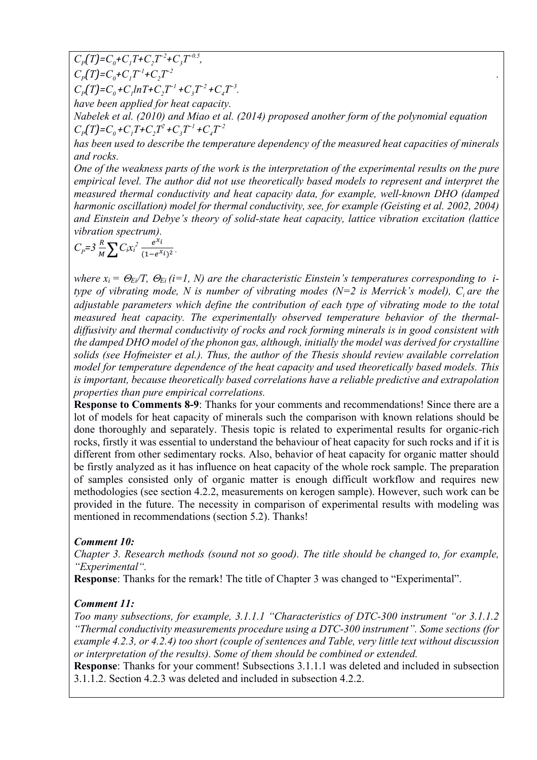$C_p(T) = C_0 + C_1 T + C_2 T^{-2} + C_3 T^{-0.5}$ ,  $C_p(T) = C_q + C_qT^{-1} + C_qT^{-2}$ *+C2T<sup>−</sup>2 .*

 $C_p(T) = C_0 + C_1 ln T + C_2 T^{-1} + C_3 T^{-2} + C_4 T^{-3}$ .

*have been applied for heat capacity.*

*Nabelek et al. (2010) and Miao et al. (2014) proposed another form of the polynomial equation*   $C_p(T) = C_q + C_qT + C_qT^2 + C_qT^{-1} + C_qT^{-2}$ 

*has been used to describe the temperature dependency of the measured heat capacities of minerals and rocks.* 

*One of the weakness parts of the work is the interpretation of the experimental results on the pure empirical level. The author did not use theoretically based models to represent and interpret the measured thermal conductivity and heat capacity data, for example, well-known DHO (damped harmonic oscillation) model for thermal conductivity, see, for example (Geisting et al. 2002, 2004) and Einstein and Debye's theory of solid-state heat capacity, lattice vibration excitation (lattice vibration spectrum).* 

$$
C_p = 3 \frac{R}{M} \sum C_i x_i^2 \frac{e^{x_i}}{(1 - e^{x_i})^2}
$$

*where*  $x_i = \Theta_{E}/T$ ,  $\Theta_{E_i}$  (*i*=1, *N*) are the characteristic Einstein's temperatures corresponding to *itype of vibrating mode, N is number of vibrating modes (N=2 is Merrick's model), C are the adjustable parameters which define the contribution of each type of vibrating mode to the total measured heat capacity. The experimentally observed temperature behavior of the thermaldiffusivity and thermal conductivity of rocks and rock forming minerals is in good consistent with the damped DHO model of the phonon gas, although, initially the model was derived for crystalline solids (see Hofmeister et al.). Thus, the author of the Thesis should review available correlation model for temperature dependence of the heat capacity and used theoretically based models. This is important, because theoretically based correlations have a reliable predictive and extrapolation properties than pure empirical correlations.* 

**Response to Comments 8-9**: Thanks for your comments and recommendations! Since there are a lot of models for heat capacity of minerals such the comparison with known relations should be done thoroughly and separately. Thesis topic is related to experimental results for organic-rich rocks, firstly it was essential to understand the behaviour of heat capacity for such rocks and if it is different from other sedimentary rocks. Also, behavior of heat capacity for organic matter should be firstly analyzed as it has influence on heat capacity of the whole rock sample. The preparation of samples consisted only of organic matter is enough difficult workflow and requires new methodologies (see section 4.2.2, measurements on kerogen sample). However, such work can be provided in the future. The necessity in comparison of experimental results with modeling was mentioned in recommendations (section 5.2). Thanks!

### *Comment 10:*

*Chapter 3. Research methods (sound not so good). The title should be changed to, for example, "Experimental".*

**Response**: Thanks for the remark! The title of Chapter 3 was changed to "Experimental".

### *Comment 11:*

*Too many subsections, for example, 3.1.1.1 "Characteristics of DTC-300 instrument "or 3.1.1.2 "Thermal conductivity measurements procedure using a DTC-300 instrument". Some sections (for example 4.2.3, or 4.2.4) too short (couple of sentences and Table, very little text without discussion or interpretation of the results). Some of them should be combined or extended.*

**Response**: Thanks for your comment! Subsections 3.1.1.1 was deleted and included in subsection 3.1.1.2. Section 4.2.3 was deleted and included in subsection 4.2.2.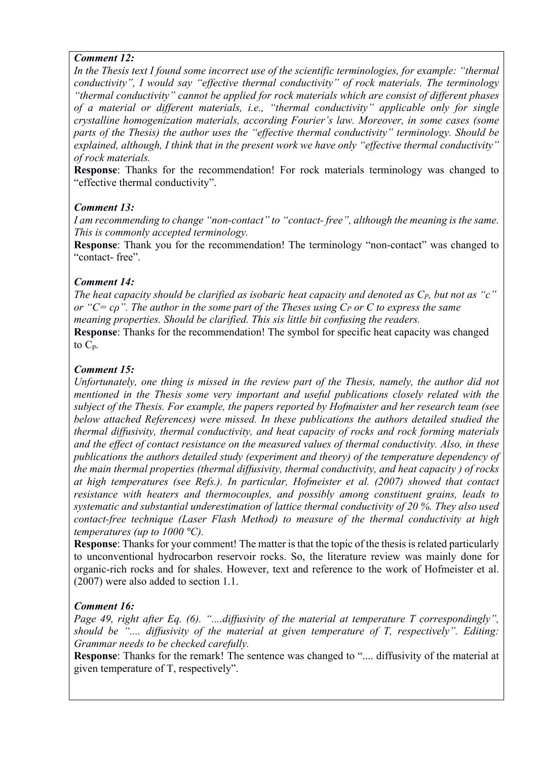#### *Comment 12:*

*In the Thesis text I found some incorrect use of the scientific terminologies, for example: "thermal conductivity", I would say "effective thermal conductivity" of rock materials. The terminology "thermal conductivity" cannot be applied for rock materials which are consist of different phases of a material or different materials, i.e., "thermal conductivity" applicable only for single crystalline homogenization materials, according Fourier's law. Moreover, in some cases (some parts of the Thesis) the author uses the "effective thermal conductivity" terminology. Should be explained, although, I think that in the present work we have only "effective thermal conductivity" of rock materials.*

**Response**: Thanks for the recommendation! For rock materials terminology was changed to "effective thermal conductivity".

### *Comment 13:*

*I am recommending to change "non-contact" to "contact- free", although the meaning is the same. This is commonly accepted terminology.*

**Response**: Thank you for the recommendation! The terminology "non-contact" was changed to "contact- free".

### *Comment 14:*

*The heat capacity should be clarified as isobaric heat capacity and denoted as CP, but not as "c" or* "*C*= *cρ*". The author in the some part of the Theses using *C<sub>P</sub>* or *C* to express the same *meaning properties. Should be clarified. This sis little bit confusing the readers.* **Response**: Thanks for the recommendation! The symbol for specific heat capacity was changed to  $C_p$ .

### *Comment 15:*

*Unfortunately, one thing is missed in the review part of the Thesis, namely, the author did not mentioned in the Thesis some very important and useful publications closely related with the subject of the Thesis. For example, the papers reported by Hofmaister and her research team (see below attached References) were missed. In these publications the authors detailed studied the thermal diffusivity, thermal conductivity, and heat capacity of rocks and rock forming materials and the effect of contact resistance on the measured values of thermal conductivity. Also, in these publications the authors detailed study (experiment and theory) of the temperature dependency of the main thermal properties (thermal diffusivity, thermal conductivity, and heat capacity ) of rocks at high temperatures (see Refs.). In particular, Hofmeister et al. (2007) showed that contact resistance with heaters and thermocouples, and possibly among constituent grains, leads to systematic and substantial underestimation of lattice thermal conductivity of 20 %. They also used contact-free technique (Laser Flash Method) to measure of the thermal conductivity at high temperatures (up to 1000 °C).* 

**Response**: Thanks for your comment! The matter is that the topic of the thesis is related particularly to unconventional hydrocarbon reservoir rocks. So, the literature review was mainly done for organic-rich rocks and for shales. However, text and reference to the work of Hofmeister et al. (2007) were also added to section 1.1.

### *Comment 16:*

*Page 49, right after Eq. (6). "....diffusivity of the material at temperature T correspondingly", should be ".... diffusivity of the material at given temperature of T, respectively". Editing: Grammar needs to be checked carefully.*

**Response**: Thanks for the remark! The sentence was changed to ".... diffusivity of the material at given temperature of T, respectively".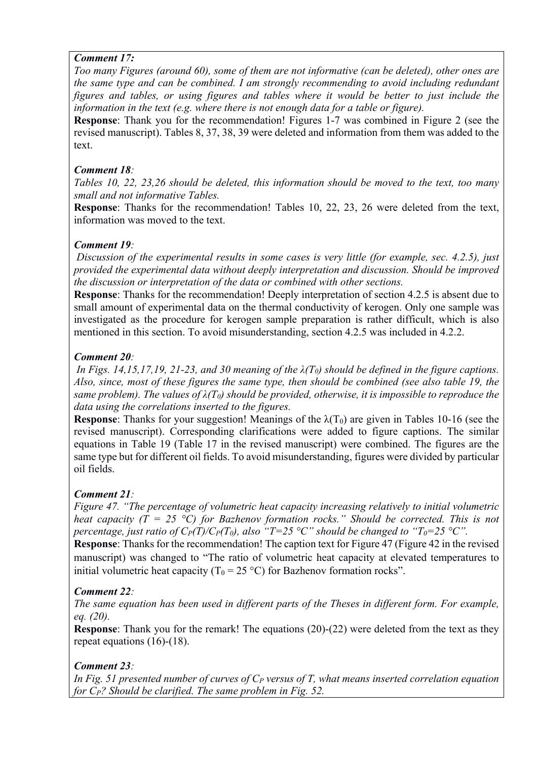### *Comment 17:*

*Too many Figures (around 60), some of them are not informative (can be deleted), other ones are the same type and can be combined. I am strongly recommending to avoid including redundant figures and tables, or using figures and tables where it would be better to just include the information in the text (e.g. where there is not enough data for a table or figure).*

**Response**: Thank you for the recommendation! Figures 1-7 was combined in Figure 2 (see the revised manuscript). Tables 8, 37, 38, 39 were deleted and information from them was added to the text.

## *Comment 18:*

*Tables 10, 22, 23,26 should be deleted, this information should be moved to the text, too many small and not informative Tables.*

**Response**: Thanks for the recommendation! Tables 10, 22, 23, 26 were deleted from the text, information was moved to the text.

## *Comment 19:*

*Discussion of the experimental results in some cases is very little (for example, sec. 4.2.5), just provided the experimental data without deeply interpretation and discussion. Should be improved the discussion or interpretation of the data or combined with other sections.*

**Response**: Thanks for the recommendation! Deeply interpretation of section 4.2.5 is absent due to small amount of experimental data on the thermal conductivity of kerogen. Only one sample was investigated as the procedure for kerogen sample preparation is rather difficult, which is also mentioned in this section. To avoid misunderstanding, section 4.2.5 was included in 4.2.2.

# *Comment 20:*

*In Figs. 14,15,17,19, 21-23, and 30 meaning of the*  $\lambda(T_0)$  *should be defined in the figure captions. Also, since, most of these figures the same type, then should be combined (see also table 19, the same problem). The values of*  $\lambda(T_0)$  *should be provided, otherwise, it is impossible to reproduce the data using the correlations inserted to the figures.*

**Response:** Thanks for your suggestion! Meanings of the  $\lambda(T_0)$  are given in Tables 10-16 (see the revised manuscript). Corresponding clarifications were added to figure captions. The similar equations in Table 19 (Table 17 in the revised manuscript) were combined. The figures are the same type but for different oil fields. To avoid misunderstanding, figures were divided by particular oil fields.

# *Comment 21:*

*Figure 47. "The percentage of volumetric heat capacity increasing relatively to initial volumetric heat capacity (T = 25 °C) for Bazhenov formation rocks." Should be corrected. This is not percentage, just ratio of*  $C_P(T)/C_P(T_0)$ *, also "T=25 °C" should be changed to "T<sub>0</sub>=25 °C".* 

**Response**: Thanks for the recommendation! The caption text for Figure 47 (Figure 42 in the revised manuscript) was changed to "The ratio of volumetric heat capacity at elevated temperatures to initial volumetric heat capacity ( $T_0 = 25 \degree C$ ) for Bazhenov formation rocks".

## *Comment 22:*

*The same equation has been used in different parts of the Theses in different form. For example, eq. (20).*

**Response:** Thank you for the remark! The equations (20)-(22) were deleted from the text as they repeat equations (16)-(18).

# *Comment 23:*

*In Fig. 51 presented number of curves of C<sub>P</sub> versus of T, what means inserted correlation equation for C<sub>P</sub>? Should be clarified. The same problem in Fig. 52.*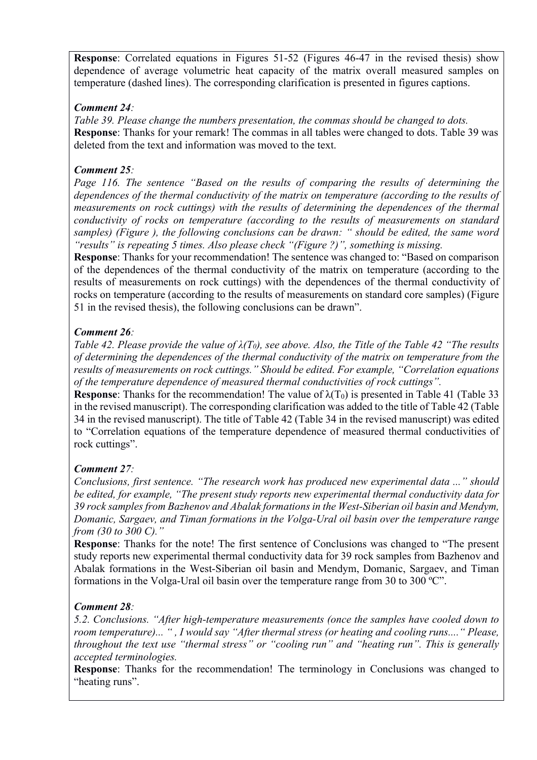**Response**: Correlated equations in Figures 51-52 (Figures 46-47 in the revised thesis) show dependence of average volumetric heat capacity of the matrix overall measured samples on temperature (dashed lines). The corresponding clarification is presented in figures captions.

## *Comment 24:*

*Table 39. Please change the numbers presentation, the commas should be changed to dots.*  **Response**: Thanks for your remark! The commas in all tables were changed to dots. Table 39 was deleted from the text and information was moved to the text.

## *Comment 25:*

*Page 116. The sentence "Based on the results of comparing the results of determining the dependences of the thermal conductivity of the matrix on temperature (according to the results of measurements on rock cuttings) with the results of determining the dependences of the thermal conductivity of rocks on temperature (according to the results of measurements on standard samples) (Figure ), the following conclusions can be drawn: " should be edited, the same word "results" is repeating 5 times. Also please check "(Figure ?)", something is missing.* 

**Response**: Thanks for your recommendation! The sentence was changed to: "Based on comparison of the dependences of the thermal conductivity of the matrix on temperature (according to the results of measurements on rock cuttings) with the dependences of the thermal conductivity of rocks on temperature (according to the results of measurements on standard core samples) (Figure 51 in the revised thesis), the following conclusions can be drawn".

### *Comment 26:*

*Table 42. Please provide the value of λ(T0), see above. Also, the Title of the Table 42 "The results of determining the dependences of the thermal conductivity of the matrix on temperature from the results of measurements on rock cuttings." Should be edited. For example, "Correlation equations of the temperature dependence of measured thermal conductivities of rock cuttings".*

**Response:** Thanks for the recommendation! The value of  $\lambda(T_0)$  is presented in Table 41 (Table 33) in the revised manuscript). The corresponding clarification was added to the title of Table 42 (Table 34 in the revised manuscript). The title of Table 42 (Table 34 in the revised manuscript) was edited to "Correlation equations of the temperature dependence of measured thermal conductivities of rock cuttings".

## *Comment 27:*

*Conclusions, first sentence. "The research work has produced new experimental data ..." should be edited, for example, "The present study reports new experimental thermal conductivity data for 39 rock samples from Bazhenov and Abalak formations in the West-Siberian oil basin and Mendym, Domanic, Sargaev, and Timan formations in the Volga-Ural oil basin over the temperature range from (30 to 300 C)."*

**Response**: Thanks for the note! The first sentence of Conclusions was changed to "The present study reports new experimental thermal conductivity data for 39 rock samples from Bazhenov and Abalak formations in the West-Siberian oil basin and Mendym, Domanic, Sargaev, and Timan formations in the Volga-Ural oil basin over the temperature range from 30 to 300 °C".

### *Comment 28:*

*5.2. Conclusions. "After high-temperature measurements (once the samples have cooled down to room temperature)... " , I would say "After thermal stress (or heating and cooling runs...." Please, throughout the text use "thermal stress" or "cooling run" and "heating run". This is generally accepted terminologies.*

**Response**: Thanks for the recommendation! The terminology in Conclusions was changed to "heating runs".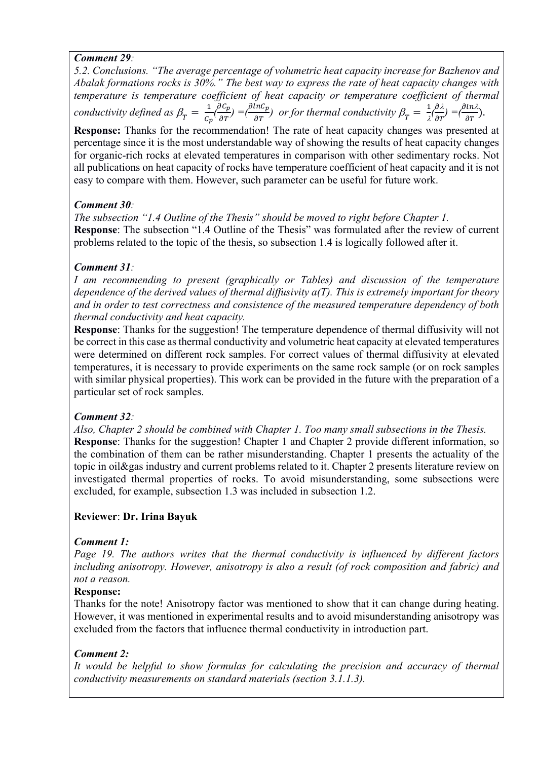### *Comment 29:*

*5.2. Conclusions. "The average percentage of volumetric heat capacity increase for Bazhenov and Abalak formations rocks is 30%." The best way to express the rate of heat capacity changes with temperature is temperature coefficient of heat capacity or temperature coefficient of thermal conductivity defined as*  $\beta_T = \frac{1}{c_p} \left( \frac{\partial c_p}{\partial T} \right) = \left( \frac{\partial \ln c_p}{\partial T} \right)$  *or for thermal conductivity*  $\beta_T = \frac{1}{\lambda} \left( \frac{\partial \lambda}{\partial T} \right) = \left( \frac{\partial \ln \lambda}{\partial T} \right)$ .

**Response:** Thanks for the recommendation! The rate of heat capacity changes was presented at percentage since it is the most understandable way of showing the results of heat capacity changes for organic-rich rocks at elevated temperatures in comparison with other sedimentary rocks. Not all publications on heat capacity of rocks have temperature coefficient of heat capacity and it is not easy to compare with them. However, such parameter can be useful for future work.

### *Comment 30:*

*The subsection "1.4 Outline of the Thesis" should be moved to right before Chapter 1.* **Response**: The subsection "1.4 Outline of the Thesis" was formulated after the review of current problems related to the topic of the thesis, so subsection 1.4 is logically followed after it.

### *Comment 31:*

*I* am recommending to present (graphically or Tables) and discussion of the temperature *dependence of the derived values of thermal diffusivity a(T). This is extremely important for theory and in order to test correctness and consistence of the measured temperature dependency of both thermal conductivity and heat capacity.*

**Response**: Thanks for the suggestion! The temperature dependence of thermal diffusivity will not be correct in this case as thermal conductivity and volumetric heat capacity at elevated temperatures were determined on different rock samples. For correct values of thermal diffusivity at elevated temperatures, it is necessary to provide experiments on the same rock sample (or on rock samples with similar physical properties). This work can be provided in the future with the preparation of a particular set of rock samples.

## *Comment 32:*

*Also, Chapter 2 should be combined with Chapter 1. Too many small subsections in the Thesis.* **Response:** Thanks for the suggestion! Chapter 1 and Chapter 2 provide different information, so the combination of them can be rather misunderstanding. Chapter 1 presents the actuality of the topic in oil&gas industry and current problems related to it. Chapter 2 presents literature review on investigated thermal properties of rocks. To avoid misunderstanding, some subsections were excluded, for example, subsection 1.3 was included in subsection 1.2.

## **Reviewer**: **Dr. Irina Bayuk**

### *Comment 1:*

*Page 19. The authors writes that the thermal conductivity is influenced by different factors including anisotropy. However, anisotropy is also a result (of rock composition and fabric) and not a reason.* 

### **Response:**

Thanks for the note! Anisotropy factor was mentioned to show that it can change during heating. However, it was mentioned in experimental results and to avoid misunderstanding anisotropy was excluded from the factors that influence thermal conductivity in introduction part.

### *Comment 2:*

*It would be helpful to show formulas for calculating the precision and accuracy of thermal conductivity measurements on standard materials (section 3.1.1.3).*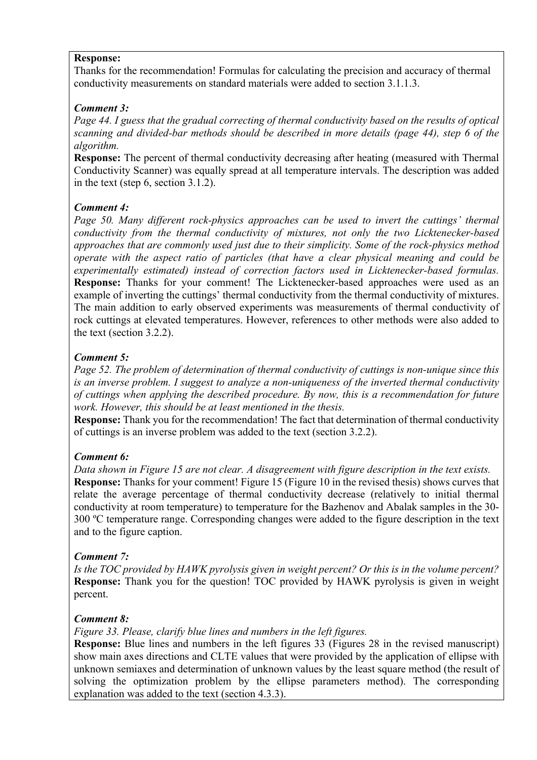#### **Response:**

Thanks for the recommendation! Formulas for calculating the precision and accuracy of thermal conductivity measurements on standard materials were added to section 3.1.1.3.

### *Comment 3:*

*Page 44. I guess that the gradual correcting of thermal conductivity based on the results of optical scanning and divided-bar methods should be described in more details (page 44), step 6 of the algorithm.* 

**Response:** The percent of thermal conductivity decreasing after heating (measured with Thermal Conductivity Scanner) was equally spread at all temperature intervals. The description was added in the text (step 6, section 3.1.2).

### *Comment 4:*

*Page 50. Many different rock-physics approaches can be used to invert the cuttings' thermal conductivity from the thermal conductivity of mixtures, not only the two Licktenecker-based approaches that are commonly used just due to their simplicity. Some of the rock-physics method operate with the aspect ratio of particles (that have a clear physical meaning and could be experimentally estimated) instead of correction factors used in Licktenecker-based formulas.*  **Response:** Thanks for your comment! The Licktenecker-based approaches were used as an example of inverting the cuttings' thermal conductivity from the thermal conductivity of mixtures. The main addition to early observed experiments was measurements of thermal conductivity of rock cuttings at elevated temperatures. However, references to other methods were also added to the text (section 3.2.2).

### *Comment 5:*

*Page 52. The problem of determination of thermal conductivity of cuttings is non-unique since this is an inverse problem. I suggest to analyze a non-uniqueness of the inverted thermal conductivity of cuttings when applying the described procedure. By now, this is a recommendation for future work. However, this should be at least mentioned in the thesis.*

**Response:** Thank you for the recommendation! The fact that determination of thermal conductivity of cuttings is an inverse problem was added to the text (section 3.2.2).

## *Comment 6:*

*Data shown in Figure 15 are not clear. A disagreement with figure description in the text exists.* **Response:** Thanks for your comment! Figure 15 (Figure 10 in the revised thesis) shows curves that relate the average percentage of thermal conductivity decrease (relatively to initial thermal conductivity at room temperature) to temperature for the Bazhenov and Abalak samples in the 30- 300 ºС temperature range. Corresponding changes were added to the figure description in the text and to the figure caption.

### *Comment 7:*

*Is the TOC provided by HAWK pyrolysis given in weight percent? Or this is in the volume percent?*  **Response:** Thank you for the question! TOC provided by HAWK pyrolysis is given in weight percent.

### *Comment 8:*

*Figure 33. Please, clarify blue lines and numbers in the left figures.* 

**Response:** Blue lines and numbers in the left figures 33 (Figures 28 in the revised manuscript) show main axes directions and CLTE values that were provided by the application of ellipse with unknown semiaxes and determination of unknown values by the least square method (the result of solving the optimization problem by the ellipse parameters method). The corresponding explanation was added to the text (section 4.3.3).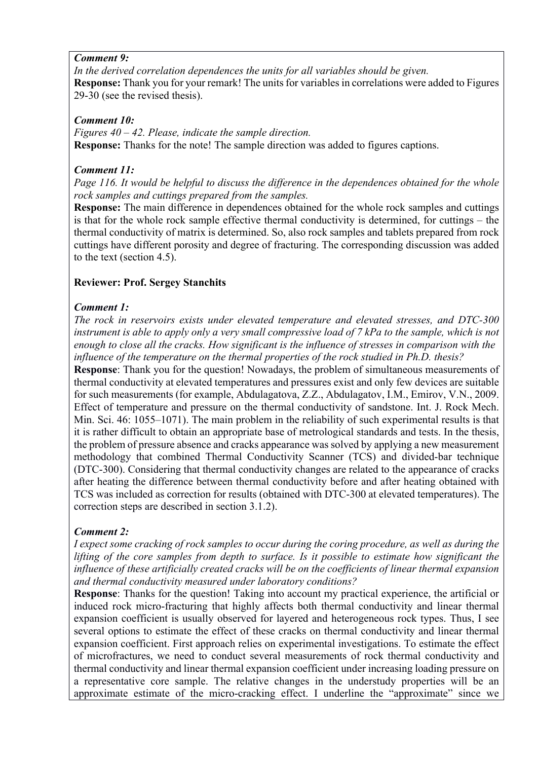#### *Comment 9:*

*In the derived correlation dependences the units for all variables should be given.* **Response:** Thank you for your remark! The units for variables in correlations were added to Figures 29-30 (see the revised thesis).

#### *Comment 10:*

*Figures 40 – 42. Please, indicate the sample direction.* **Response:** Thanks for the note! The sample direction was added to figures captions.

### *Comment 11:*

*Page 116. It would be helpful to discuss the difference in the dependences obtained for the whole rock samples and cuttings prepared from the samples.*

**Response:** The main difference in dependences obtained for the whole rock samples and cuttings is that for the whole rock sample effective thermal conductivity is determined, for cuttings – the thermal conductivity of matrix is determined. So, also rock samples and tablets prepared from rock cuttings have different porosity and degree of fracturing. The corresponding discussion was added to the text (section 4.5).

### **Reviewer: Prof. Sergey Stanchits**

### *Comment 1:*

*The rock in reservoirs exists under elevated temperature and elevated stresses, and DTC-300 instrument is able to apply only a very small compressive load of 7 kPa to the sample, which is not enough to close all the cracks. How significant is the influence of stresses in comparison with the influence of the temperature on the thermal properties of the rock studied in Ph.D. thesis?*

**Response**: Thank you for the question! Nowadays, the problem of simultaneous measurements of thermal conductivity at elevated temperatures and pressures exist and only few devices are suitable for such measurements (for example, Abdulagatova, Z.Z., Abdulagatov, I.M., Emirov, V.N., 2009. Effect of temperature and pressure on the thermal conductivity of sandstone. Int. J. Rock Mech. Min. Sci. 46: 1055–1071). The main problem in the reliability of such experimental results is that it is rather difficult to obtain an appropriate base of metrological standards and tests. In the thesis, the problem of pressure absence and cracks appearance was solved by applying a new measurement methodology that combined Thermal Conductivity Scanner (TCS) and divided-bar technique (DTC-300). Considering that thermal conductivity changes are related to the appearance of cracks after heating the difference between thermal conductivity before and after heating obtained with TCS was included as correction for results (obtained with DTC-300 at elevated temperatures). The correction steps are described in section 3.1.2).

## *Comment 2:*

*I expect some cracking of rock samples to occur during the coring procedure, as well as during the lifting of the core samples from depth to surface. Is it possible to estimate how significant the influence of these artificially created cracks will be on the coefficients of linear thermal expansion and thermal conductivity measured under laboratory conditions?*

**Response**: Thanks for the question! Taking into account my practical experience, the artificial or induced rock micro-fracturing that highly affects both thermal conductivity and linear thermal expansion coefficient is usually observed for layered and heterogeneous rock types. Thus, I see several options to estimate the effect of these cracks on thermal conductivity and linear thermal expansion coefficient. First approach relies on experimental investigations. To estimate the effect of microfractures, we need to conduct several measurements of rock thermal conductivity and thermal conductivity and linear thermal expansion coefficient under increasing loading pressure on a representative core sample. The relative changes in the understudy properties will be an approximate estimate of the micro-cracking effect. I underline the "approximate" since we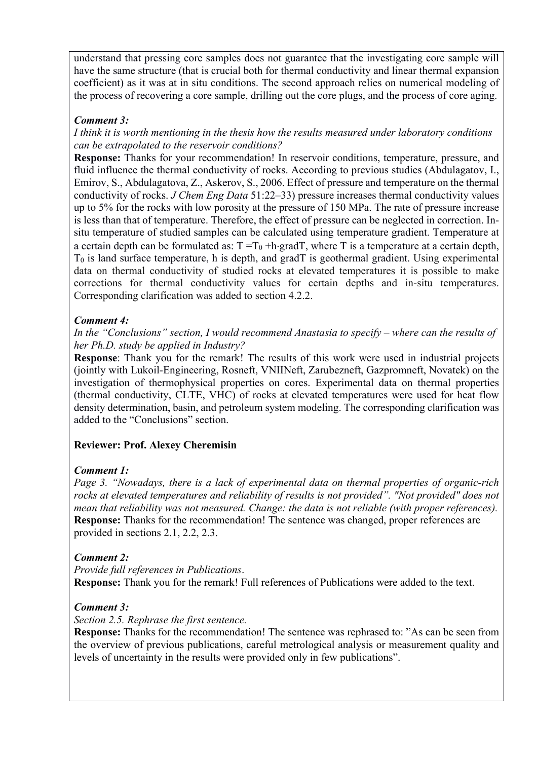understand that pressing core samples does not guarantee that the investigating core sample will have the same structure (that is crucial both for thermal conductivity and linear thermal expansion coefficient) as it was at in situ conditions. The second approach relies on numerical modeling of the process of recovering a core sample, drilling out the core plugs, and the process of core aging.

### *Comment 3:*

*I think it is worth mentioning in the thesis how the results measured under laboratory conditions can be extrapolated to the reservoir conditions?*

**Response:** Thanks for your recommendation! In reservoir conditions, temperature, pressure, and fluid influence the thermal conductivity of rocks. According to previous studies (Abdulagatov, I., Emirov, S., Abdulagatova, Z., Askerov, S., 2006. Effect of pressure and temperature on the thermal conductivity of rocks. *J Chem Eng Data* 51:22–33) pressure increases thermal conductivity values up to 5% for the rocks with low porosity at the pressure of 150 MPa. The rate of pressure increase is less than that of temperature. Therefore, the effect of pressure can be neglected in correction. Insitu temperature of studied samples can be calculated using temperature gradient. Temperature at a certain depth can be formulated as:  $T = T_0 + h \cdot \text{grad}T$ , where T is a temperature at a certain depth,  $T<sub>0</sub>$  is land surface temperature, h is depth, and grad $T$  is geothermal gradient. Using experimental data on thermal conductivity of studied rocks at elevated temperatures it is possible to make corrections for thermal conductivity values for certain depths and in-situ temperatures. Corresponding clarification was added to section 4.2.2.

### *Comment 4:*

*In the "Conclusions" section, I would recommend Anastasia to specify – where can the results of her Ph.D. study be applied in Industry?*

**Response**: Thank you for the remark! The results of this work were used in industrial projects (jointly with Lukoil-Engineering, Rosneft, VNIINeft, Zarubezneft, Gazpromneft, Novatek) on the investigation of thermophysical properties on cores. Experimental data on thermal properties (thermal conductivity, CLTE, VHC) of rocks at elevated temperatures were used for heat flow density determination, basin, and petroleum system modeling. The corresponding clarification was added to the "Conclusions" section.

## **Reviewer: Prof. Alexey Cheremisin**

## *Comment 1:*

*Page 3. "Nowadays, there is a lack of experimental data on thermal properties of organic-rich rocks at elevated temperatures and reliability of results is not provided". "Not provided" does not mean that reliability was not measured. Change: the data is not reliable (with proper references).* **Response:** Thanks for the recommendation! The sentence was changed, proper references are provided in sections 2.1, 2.2, 2.3.

### *Comment 2:*

*Provide full references in Publications*. **Response:** Thank you for the remark! Full references of Publications were added to the text.

### *Comment 3:*

### *Section 2.5. Rephrase the first sentence.*

**Response:** Thanks for the recommendation! The sentence was rephrased to: "As can be seen from the overview of previous publications, careful metrological analysis or measurement quality and levels of uncertainty in the results were provided only in few publications".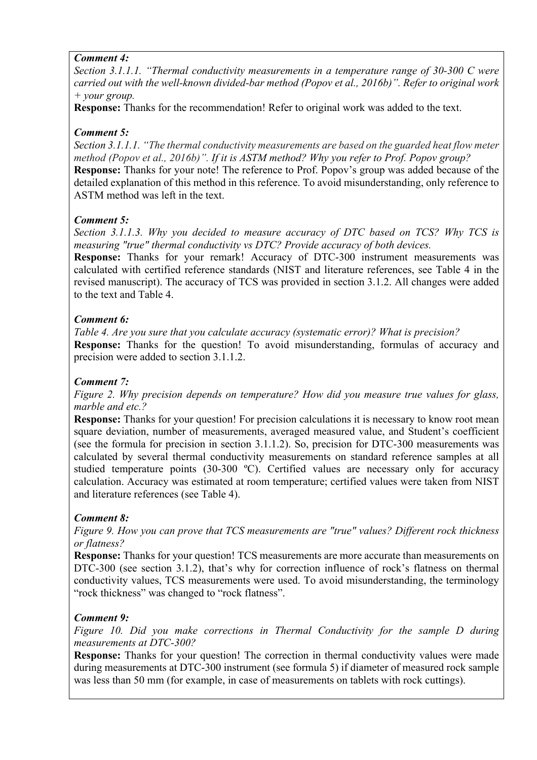### *Comment 4:*

*Section 3.1.1.1. "Thermal conductivity measurements in a temperature range of 30-300 С were carried out with the well-known divided-bar method (Popov et al., 2016b)". Refer to original work + your group.*

**Response:** Thanks for the recommendation! Refer to original work was added to the text.

# *Comment 5:*

*Section 3.1.1.1. "The thermal conductivity measurements are based on the guarded heat flow meter method (Popov et al., 2016b)". If it is ASTM method? Why you refer to Prof. Popov group?* **Response:** Thanks for your note! The reference to Prof. Popov's group was added because of the detailed explanation of this method in this reference. To avoid misunderstanding, only reference to ASTM method was left in the text.

# *Comment 5:*

*Section 3.1.1.3. Why you decided to measure accuracy of DTC based on TCS? Why TCS is measuring "true" thermal conductivity vs DTC? Provide accuracy of both devices.*

**Response:** Thanks for your remark! Accuracy of DTC-300 instrument measurements was calculated with certified reference standards (NIST and literature references, see Table 4 in the revised manuscript). The accuracy of TCS was provided in section 3.1.2. All changes were added to the text and Table 4.

# *Comment 6:*

*Table 4. Are you sure that you calculate accuracy (systematic error)? What is precision?* **Response:** Thanks for the question! To avoid misunderstanding, formulas of accuracy and precision were added to section 3.1.1.2.

# *Comment 7:*

*Figure 2. Why precision depends on temperature? How did you measure true values for glass, marble and etc.?* 

**Response:** Thanks for your question! For precision calculations it is necessary to know root mean square deviation, number of measurements, averaged measured value, and Student's coefficient (see the formula for precision in section 3.1.1.2). So, precision for DTC-300 measurements was calculated by several thermal conductivity measurements on standard reference samples at all studied temperature points (30-300 °C). Certified values are necessary only for accuracy calculation. Accuracy was estimated at room temperature; certified values were taken from NIST and literature references (see Table 4).

# *Comment 8:*

*Figure 9. How you can prove that TCS measurements are "true" values? Different rock thickness or flatness?*

**Response:** Thanks for your question! TCS measurements are more accurate than measurements on DTC-300 (see section 3.1.2), that's why for correction influence of rock's flatness on thermal conductivity values, TCS measurements were used. To avoid misunderstanding, the terminology "rock thickness" was changed to "rock flatness".

## *Comment 9:*

*Figure 10. Did you make corrections in Thermal Conductivity for the sample D during measurements at DTC-300?*

**Response:** Thanks for your question! The correction in thermal conductivity values were made during measurements at DTC-300 instrument (see formula 5) if diameter of measured rock sample was less than 50 mm (for example, in case of measurements on tablets with rock cuttings).